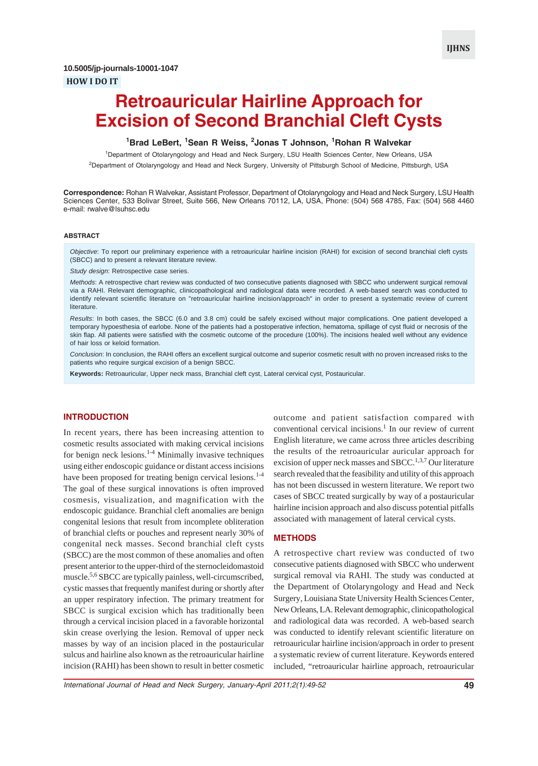# **Retroauricular Hairline Approach for Excision of Second Branchial Cleft Cysts**

# **1 Brad LeBert, <sup>1</sup> Sean R Weiss, <sup>2</sup> Jonas T Johnson, <sup>1</sup> Rohan R Walvekar**

1 Department of Otolaryngology and Head and Neck Surgery, LSU Health Sciences Center, New Orleans, USA 2 Department of Otolaryngology and Head and Neck Surgery, University of Pittsburgh School of Medicine, Pittsburgh, USA

**Correspondence:** Rohan R Walvekar, Assistant Professor, Department of Otolaryngology and Head and Neck Surgery, LSU Health Sciences Center, 533 Bolivar Street, Suite 566, New Orleans 70112, LA, USA, Phone: (504) 568 4785, Fax: (504) 568 4460 e-mail: rwalve@lsuhsc.edu

### **ABSTRACT**

*Objective*: To report our preliminary experience with a retroauricular hairline incision (RAHI) for excision of second branchial cleft cysts (SBCC) and to present a relevant literature review.

*Study design*: Retrospective case series.

*Methods*: A retrospective chart review was conducted of two consecutive patients diagnosed with SBCC who underwent surgical removal via a RAHI. Relevant demographic, clinicopathological and radiological data were recorded. A web-based search was conducted to identify relevant scientific literature on "retroauricular hairline incision/approach" in order to present a systematic review of current literature.

*Results*: In both cases, the SBCC (6.0 and 3.8 cm) could be safely excised without major complications. One patient developed a temporary hypoesthesia of earlobe. None of the patients had a postoperative infection, hematoma, spillage of cyst fluid or necrosis of the skin flap. All patients were satisfied with the cosmetic outcome of the procedure (100%). The incisions healed well without any evidence of hair loss or keloid formation.

*Conclusion*: In conclusion, the RAHI offers an excellent surgical outcome and superior cosmetic result with no proven increased risks to the patients who require surgical excision of a benign SBCC.

**Keywords:** Retroauricular, Upper neck mass, Branchial cleft cyst, Lateral cervical cyst, Postauricular.

# **INTRODUCTION**

In recent years, there has been increasing attention to cosmetic results associated with making cervical incisions for benign neck lesions.<sup>1-4</sup> Minimally invasive techniques using either endoscopic guidance or distant access incisions have been proposed for treating benign cervical lesions.<sup>1-4</sup> The goal of these surgical innovations is often improved cosmesis, visualization, and magnification with the endoscopic guidance. Branchial cleft anomalies are benign congenital lesions that result from incomplete obliteration of branchial clefts or pouches and represent nearly 30% of congenital neck masses. Second branchial cleft cysts (SBCC) are the most common of these anomalies and often present anterior to the upper-third of the sternocleidomastoid muscle.<sup>5,6</sup> SBCC are typically painless, well-circumscribed, cystic masses that frequently manifest during or shortly after an upper respiratory infection. The primary treatment for SBCC is surgical excision which has traditionally been through a cervical incision placed in a favorable horizontal skin crease overlying the lesion. Removal of upper neck masses by way of an incision placed in the postauricular sulcus and hairline also known as the retroauricular hairline incision (RAHI) has been shown to result in better cosmetic

outcome and patient satisfaction compared with conventional cervical incisions.<sup>1</sup> In our review of current English literature, we came across three articles describing the results of the retroauricular auricular approach for excision of upper neck masses and SBCC.<sup>1,3,7</sup> Our literature search revealed that the feasibility and utility of this approach has not been discussed in western literature. We report two cases of SBCC treated surgically by way of a postauricular hairline incision approach and also discuss potential pitfalls associated with management of lateral cervical cysts.

# **METHODS**

A retrospective chart review was conducted of two consecutive patients diagnosed with SBCC who underwent surgical removal via RAHI. The study was conducted at the Department of Otolaryngology and Head and Neck Surgery, Louisiana State University Health Sciences Center, New Orleans, LA. Relevant demographic, clinicopathological and radiological data was recorded. A web-based search was conducted to identify relevant scientific literature on retroauricular hairline incision/approach in order to present a systematic review of current literature. Keywords entered included, "retroauricular hairline approach, retroauricular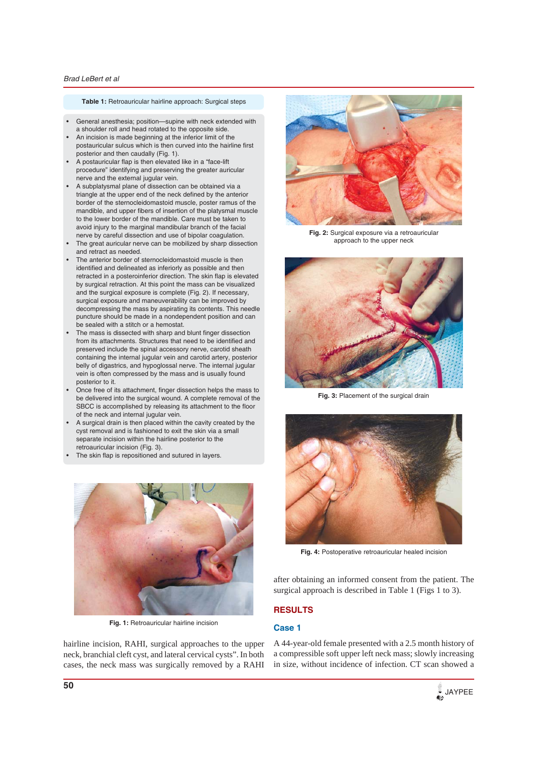### *Brad LeBert et al*

### **Table 1:** Retroauricular hairline approach: Surgical steps

- General anesthesia; position—supine with neck extended with a shoulder roll and head rotated to the opposite side.
- An incision is made beginning at the inferior limit of the postauricular sulcus which is then curved into the hairline first posterior and then caudally (Fig. 1).
- A postauricular flap is then elevated like in a "face-lift procedure" identifying and preserving the greater auricular nerve and the external jugular vein.
- A subplatysmal plane of dissection can be obtained via a triangle at the upper end of the neck defined by the anterior border of the sternocleidomastoid muscle, poster ramus of the mandible, and upper fibers of insertion of the platysmal muscle to the lower border of the mandible. Care must be taken to avoid injury to the marginal mandibular branch of the facial nerve by careful dissection and use of bipolar coagulation.
- The great auricular nerve can be mobilized by sharp dissection and retract as needed.
- The anterior border of sternocleidomastoid muscle is then identified and delineated as inferiorly as possible and then retracted in a posteroinferior direction. The skin flap is elevated by surgical retraction. At this point the mass can be visualized and the surgical exposure is complete (Fig. 2). If necessary, surgical exposure and maneuverability can be improved by decompressing the mass by aspirating its contents. This needle puncture should be made in a nondependent position and can be sealed with a stitch or a hemostat.
- The mass is dissected with sharp and blunt finger dissection from its attachments. Structures that need to be identified and preserved include the spinal accessory nerve, carotid sheath containing the internal jugular vein and carotid artery, posterior belly of digastrics, and hypoglossal nerve. The internal jugular vein is often compressed by the mass and is usually found posterior to it.
- Once free of its attachment, finger dissection helps the mass to be delivered into the surgical wound. A complete removal of the SBCC is accomplished by releasing its attachment to the floor of the neck and internal jugular vein.
- A surgical drain is then placed within the cavity created by the cyst removal and is fashioned to exit the skin via a small separate incision within the hairline posterior to the retroauricular incision (Fig. 3).
- The skin flap is repositioned and sutured in layers.



**Fig. 1:** Retroauricular hairline incision

hairline incision, RAHI, surgical approaches to the upper neck, branchial cleft cyst, and lateral cervical cysts". In both cases, the neck mass was surgically removed by a RAHI



**Fig. 2:** Surgical exposure via a retroauricular approach to the upper neck



**Fig. 3:** Placement of the surgical drain



**Fig. 4:** Postoperative retroauricular healed incision

after obtaining an informed consent from the patient. The surgical approach is described in Table 1 (Figs 1 to 3).

# **RESULTS**

# **Case 1**

A 44-year-old female presented with a 2.5 month history of a compressible soft upper left neck mass; slowly increasing in size, without incidence of infection. CT scan showed a

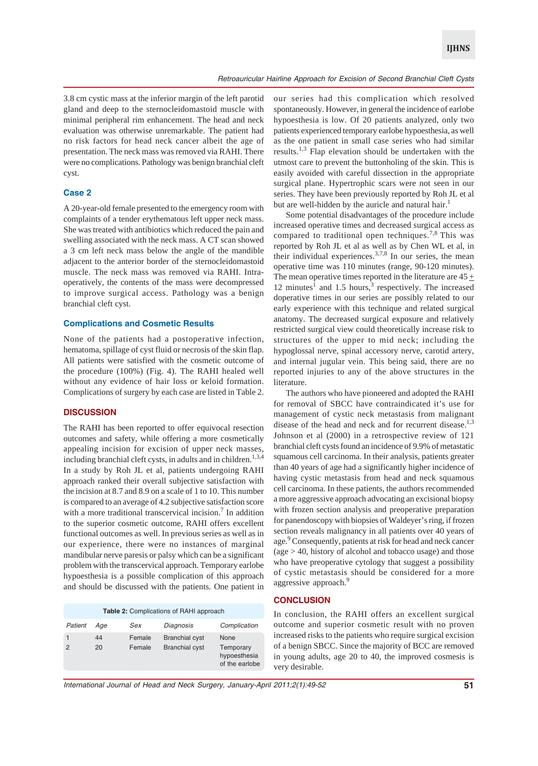3.8 cm cystic mass at the inferior margin of the left parotid gland and deep to the sternocleidomastoid muscle with minimal peripheral rim enhancement. The head and neck evaluation was otherwise unremarkable. The patient had no risk factors for head neck cancer albeit the age of presentation. The neck mass was removed via RAHI. There were no complications. Pathology was benign branchial cleft cyst.

### **Case 2**

A 20-year-old female presented to the emergency room with complaints of a tender erythematous left upper neck mass. She was treated with antibiotics which reduced the pain and swelling associated with the neck mass. A CT scan showed a 3 cm left neck mass below the angle of the mandible adjacent to the anterior border of the sternocleidomastoid muscle. The neck mass was removed via RAHI. Intraoperatively, the contents of the mass were decompressed to improve surgical access. Pathology was a benign branchial cleft cyst.

# **Complications and Cosmetic Results**

None of the patients had a postoperative infection, hematoma, spillage of cyst fluid or necrosis of the skin flap. All patients were satisfied with the cosmetic outcome of the procedure (100%) (Fig. 4). The RAHI healed well without any evidence of hair loss or keloid formation. Complications of surgery by each case are listed in Table 2.

# **DISCUSSION**

The RAHI has been reported to offer equivocal resection outcomes and safety, while offering a more cosmetically appealing incision for excision of upper neck masses, including branchial cleft cysts, in adults and in children.<sup>1,3,4</sup> In a study by Roh JL et al, patients undergoing RAHI approach ranked their overall subjective satisfaction with the incision at 8.7 and 8.9 on a scale of 1 to 10. This number is compared to an average of 4.2 subjective satisfaction score with a more traditional transcervical incision.<sup>7</sup> In addition to the superior cosmetic outcome, RAHI offers excellent functional outcomes as well. In previous series as well as in our experience, there were no instances of marginal mandibular nerve paresis or palsy which can be a significant problem with the transcervical approach. Temporary earlobe hypoesthesia is a possible complication of this approach and should be discussed with the patients. One patient in

| <b>Table 2: Complications of RAHI approach</b> |          |                  |                                                |                                                     |
|------------------------------------------------|----------|------------------|------------------------------------------------|-----------------------------------------------------|
| Patient                                        | Aae      | Sex              | Diagnosis                                      | Complication                                        |
| $\mathcal{P}$                                  | 44<br>20 | Female<br>Female | <b>Branchial cyst</b><br><b>Branchial cyst</b> | None<br>Temporary<br>hypoesthesia<br>of the earlobe |

our series had this complication which resolved spontaneously. However, in general the incidence of earlobe hypoesthesia is low. Of 20 patients analyzed, only two patients experienced temporary earlobe hypoesthesia, as well as the one patient in small case series who had similar results.1,3 Flap elevation should be undertaken with the utmost care to prevent the buttonholing of the skin. This is easily avoided with careful dissection in the appropriate surgical plane. Hypertrophic scars were not seen in our series. They have been previously reported by Roh JL et al but are well-hidden by the auricle and natural hair.<sup>1</sup>

Some potential disadvantages of the procedure include increased operative times and decreased surgical access as compared to traditional open techniques.<sup>7,8</sup> This was reported by Roh JL et al as well as by Chen WL et al, in their individual experiences.<sup>3,7,8</sup> In our series, the mean operative time was 110 minutes (range, 90-120 minutes). The mean operative times reported in the literature are  $45 \pm$ 12 minutes<sup>1</sup> and 1.5 hours,<sup>3</sup> respectively. The increased doperative times in our series are possibly related to our early experience with this technique and related surgical anatomy. The decreased surgical exposure and relatively restricted surgical view could theoretically increase risk to structures of the upper to mid neck; including the hypoglossal nerve, spinal accessory nerve, carotid artery, and internal jugular vein. This being said, there are no reported injuries to any of the above structures in the literature.

The authors who have pioneered and adopted the RAHI for removal of SBCC have contraindicated it's use for management of cystic neck metastasis from malignant disease of the head and neck and for recurrent disease.<sup>1,3</sup> Johnson et al (2000) in a retrospective review of 121 branchial cleft cysts found an incidence of 9.9% of metastatic squamous cell carcinoma. In their analysis, patients greater than 40 years of age had a significantly higher incidence of having cystic metastasis from head and neck squamous cell carcinoma. In these patients, the authors recommended a more aggressive approach advocating an excisional biopsy with frozen section analysis and preoperative preparation for panendoscopy with biopsies of Waldeyer's ring, if frozen section reveals malignancy in all patients over 40 years of age.<sup>9</sup> Consequently, patients at risk for head and neck cancer (age > 40, history of alcohol and tobacco usage) and those who have preoperative cytology that suggest a possibility of cystic metastasis should be considered for a more aggressive approach.<sup>9</sup>

# **CONCLUSION**

In conclusion, the RAHI offers an excellent surgical outcome and superior cosmetic result with no proven increased risks to the patients who require surgical excision of a benign SBCC. Since the majority of BCC are removed in young adults, age 20 to 40, the improved cosmesis is very desirable.

*International Journal of Head and Neck Surgery, January-April 2011;2(1):49-52* **51**